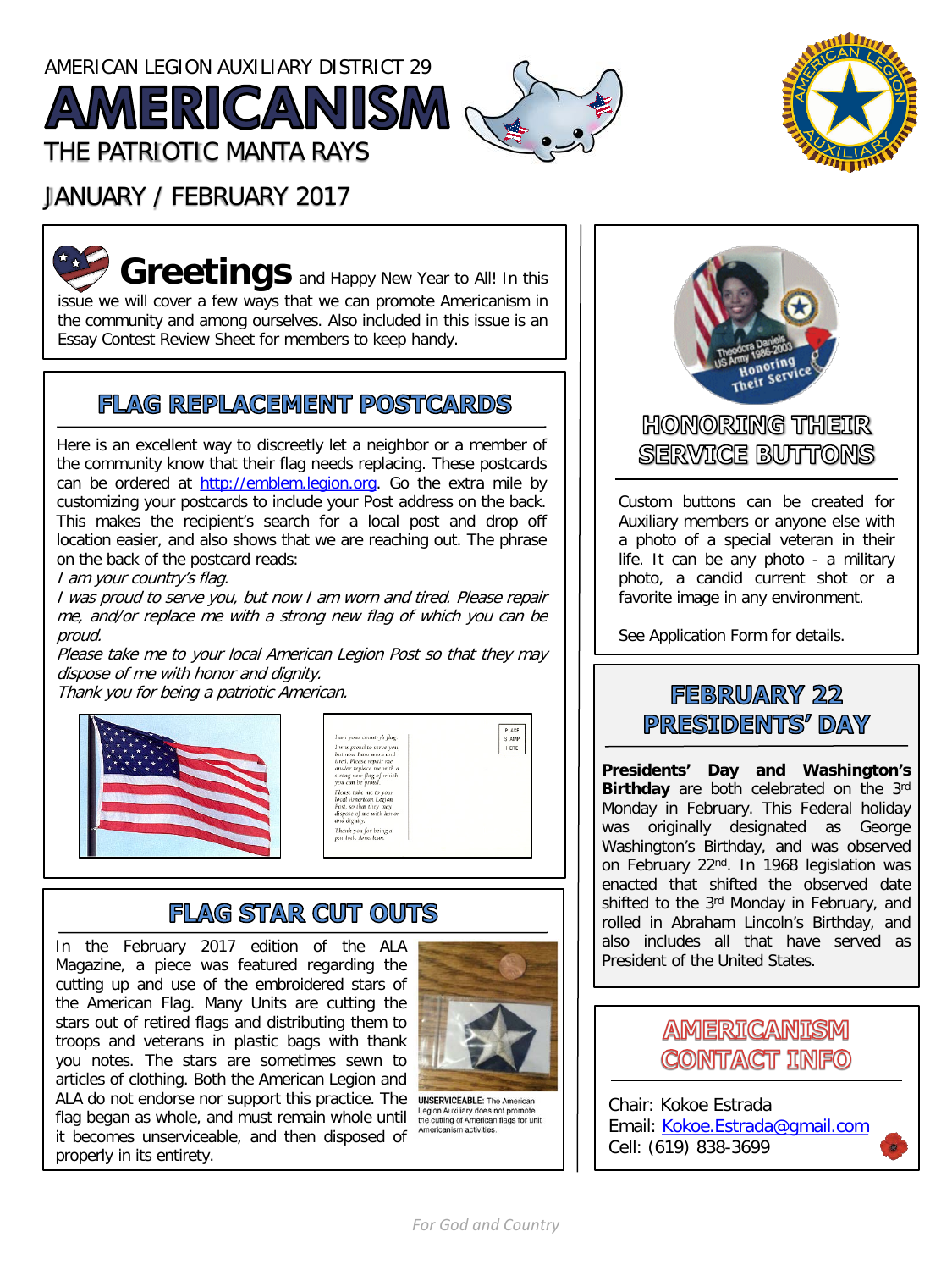# AMERICAN LEGION AUXILIARY DISTRICT 29 **AMERICANISM (** THE PATRIOTIC MANTA RAYS



## JANUARY / FEBRUARY 2017

**Greetings** and Happy New Year to All! In this issue we will cover a few ways that we can promote Americanism in the community and among ourselves. Also included in this issue is an Essay Contest Review Sheet for members to keep handy.

## **FLAG REPLACEMENT POSTCARDS**

Here is an excellent way to discreetly let a neighbor or a member of the community know that their flag needs replacing. These postcards can be ordered at [http://emblem.legion.org](http://emblem.legion.org/). Go the extra mile by customizing your postcards to include your Post address on the back. This makes the recipient's search for a local post and drop off location easier, and also shows that we are reaching out. The phrase on the back of the postcard reads:

I am your country's flag.

I was proud to serve you, but now I am worn and tired. Please repair me, and/or replace me with <sup>a</sup> strong new flag of which you can be proud.

Please take me to your local American Legion Post so that they may dispose of me with honor and dignity.

Thank you for being <sup>a</sup> patriotic American.



## **FLAG STAR CUT OUTS**

In the February 2017 edition of the ALA Magazine, a piece was featured regarding the cutting up and use of the embroidered stars of the American Flag. Many Units are cutting the stars out of retired flags and distributing them to troops and veterans in plastic bags with thank you notes. The stars are sometimes sewn to articles of clothing. Both the American Legion and ALA do not endorse nor support this practice. The UNSERVICEABLE: The American flag began as whole, and must remain whole until it becomes unserviceable, and then disposed of properly in its entirety.



Legion Auxiliary does not promote the cutting of American flags for unit m activities



### **HONORING THEIR STERVATICE BIUTITIONS**

Custom buttons can be created for Auxiliary members or anyone else with a photo of a special veteran in their life. It can be any photo - a military photo, a candid current shot or a favorite image in any environment.

See Application Form for details.

## **FEBRUARY 22** PRESIDENTS' DAY

**Presidents' Day and Washington's Birthday** are both celebrated on the 3rd Monday in February. This Federal holiday was originally designated as George Washington's Birthday, and was observed on February 22<sup>nd</sup>. In 1968 legislation was enacted that shifted the observed date shifted to the 3<sup>rd</sup> Monday in February, and rolled in Abraham Lincoln's Birthday, and also includes all that have served as President of the United States.



Chair: Kokoe Estrada Email: [Kokoe.Estrada@gmail.com](mailto:Kokoe.Estrada@gmail.com) Cell: (619) 838-3699